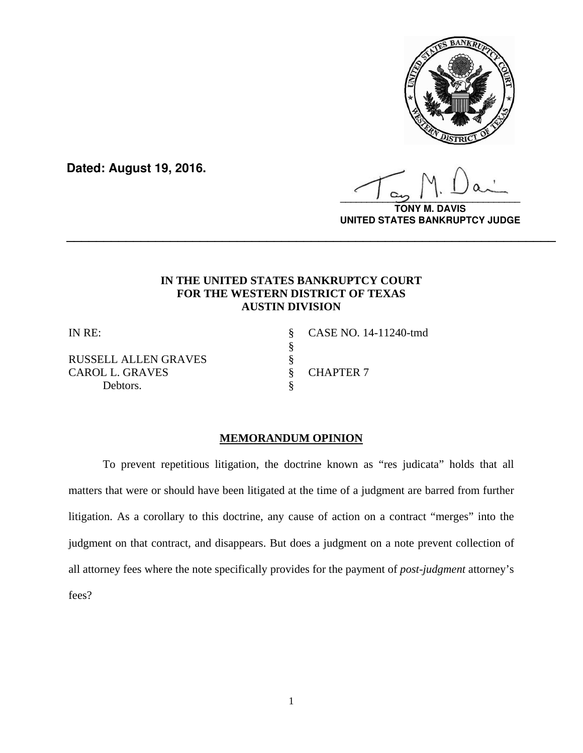

**Dated: August 19, 2016.**

**\_\_\_\_\_\_\_\_\_\_\_\_\_\_\_\_\_\_\_\_\_\_\_\_\_\_\_\_\_\_\_\_\_\_**

**TONY M. DAVIS UNITED STATES BANKRUPTCY JUDGE**

# **IN THE UNITED STATES BANKRUPTCY COURT FOR THE WESTERN DISTRICT OF TEXAS AUSTIN DIVISION**

**\_\_\_\_\_\_\_\_\_\_\_\_\_\_\_\_\_\_\_\_\_\_\_\_\_\_\_\_\_\_\_\_\_\_\_\_\_\_\_\_\_\_\_\_\_\_\_\_\_\_\_\_\_\_\_\_\_\_\_\_\_\_\_\_\_\_**

RUSSELL ALLEN GRAVES<br>CAROL L. GRAVES \$ CAROL L. GRAVES § CHAPTER 7 Debtors.  $\S$ 

§

IN RE: § CASE NO. 14-11240-tmd

# **MEMORANDUM OPINION**

 To prevent repetitious litigation, the doctrine known as "res judicata" holds that all matters that were or should have been litigated at the time of a judgment are barred from further litigation. As a corollary to this doctrine, any cause of action on a contract "merges" into the judgment on that contract, and disappears. But does a judgment on a note prevent collection of all attorney fees where the note specifically provides for the payment of *post-judgment* attorney's fees?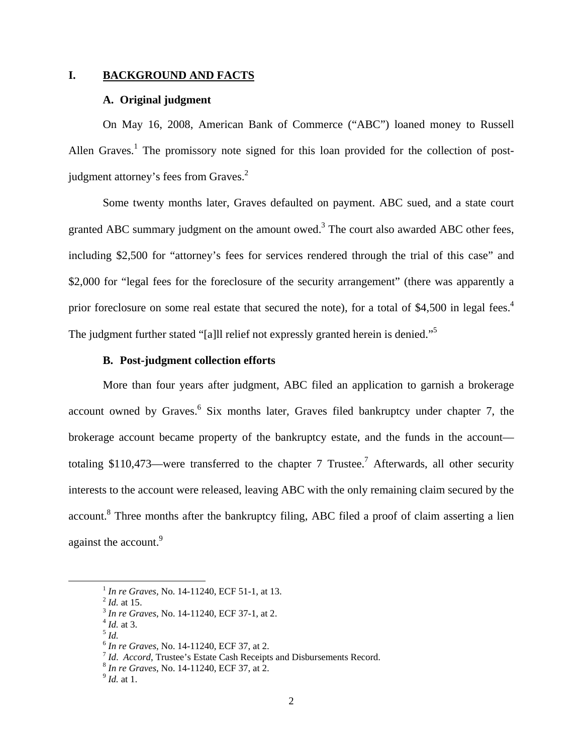### **I. BACKGROUND AND FACTS**

### **A. Original judgment**

On May 16, 2008, American Bank of Commerce ("ABC") loaned money to Russell Allen Graves.<sup>1</sup> The promissory note signed for this loan provided for the collection of postjudgment attorney's fees from Graves.<sup>2</sup>

Some twenty months later, Graves defaulted on payment. ABC sued, and a state court granted ABC summary judgment on the amount owed.<sup>3</sup> The court also awarded ABC other fees, including \$2,500 for "attorney's fees for services rendered through the trial of this case" and \$2,000 for "legal fees for the foreclosure of the security arrangement" (there was apparently a prior foreclosure on some real estate that secured the note), for a total of \$4,500 in legal fees.<sup>4</sup> The judgment further stated "[a]ll relief not expressly granted herein is denied."<sup>5</sup>

### **B. Post-judgment collection efforts**

More than four years after judgment, ABC filed an application to garnish a brokerage account owned by Graves.<sup>6</sup> Six months later, Graves filed bankruptcy under chapter 7, the brokerage account became property of the bankruptcy estate, and the funds in the account totaling \$110,473—were transferred to the chapter 7 Trustee.<sup>7</sup> Afterwards, all other security interests to the account were released, leaving ABC with the only remaining claim secured by the account.<sup>8</sup> Three months after the bankruptcy filing, ABC filed a proof of claim asserting a lien against the account.<sup>9</sup>

<sup>7</sup> *Id. Accord*, Trustee's Estate Cash Receipts and Disbursements Record. <sup>8</sup> *In re Graves*, No. 14-11240, ECF 37, at 2. 9 *Id.* at 1.

*In re Graves, No.* 14-11240, ECF 51-1, at 13.<br>
<sup>2</sup> *Id.* at 15.<br>
<sup>3</sup> *In re Graves*, No. 14-11240, ECF 37-1, at 2.<br>
<sup>4</sup> *Id.* at 3.<br>
<sup>6</sup> *In re Graves*, No. 14-11240, ECF 37, at 2.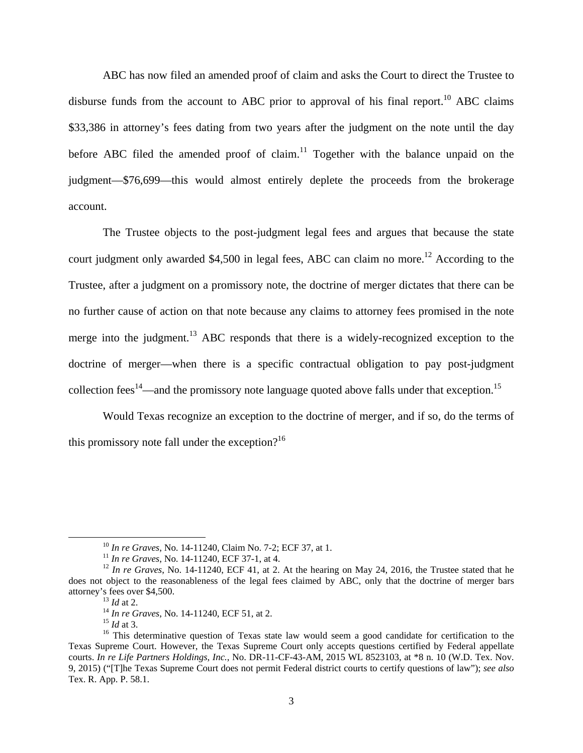ABC has now filed an amended proof of claim and asks the Court to direct the Trustee to disburse funds from the account to ABC prior to approval of his final report.<sup>10</sup> ABC claims \$33,386 in attorney's fees dating from two years after the judgment on the note until the day before ABC filed the amended proof of claim.<sup>11</sup> Together with the balance unpaid on the judgment—\$76,699—this would almost entirely deplete the proceeds from the brokerage account.

The Trustee objects to the post-judgment legal fees and argues that because the state court judgment only awarded \$4,500 in legal fees, ABC can claim no more.<sup>12</sup> According to the Trustee, after a judgment on a promissory note, the doctrine of merger dictates that there can be no further cause of action on that note because any claims to attorney fees promised in the note merge into the judgment.<sup>13</sup> ABC responds that there is a widely-recognized exception to the doctrine of merger—when there is a specific contractual obligation to pay post-judgment collection fees<sup>14</sup>—and the promissory note language quoted above falls under that exception.<sup>15</sup>

Would Texas recognize an exception to the doctrine of merger, and if so, do the terms of this promissory note fall under the exception? $16$ 

<sup>&</sup>lt;sup>10</sup> In re Graves, No. 14-11240, Claim No. 7-2; ECF 37, at 1.<br><sup>11</sup> In re Graves, No. 14-11240, ECF 37-1, at 4.<br><sup>12</sup> In re Graves, No. 14-11240, ECF 41, at 2. At the hearing on May 24, 2016, the Trustee stated that he does not object to the reasonableness of the legal fees claimed by ABC, only that the doctrine of merger bars attorney's fees over \$4,500.<br>
<sup>13</sup> *Id* at 2.<br>
<sup>14</sup> *In re Graves*, No. 14-11240, ECF 51, at 2.<br>
<sup>15</sup> *Id* at 3.<br>
<sup>16</sup> This determinative question of Texas state law would seem a good candidate for certification to the

Texas Supreme Court. However, the Texas Supreme Court only accepts questions certified by Federal appellate courts. *In re Life Partners Holdings, Inc.*, No. DR-11-CF-43-AM, 2015 WL 8523103, at \*8 n. 10 (W.D. Tex. Nov. 9, 2015) ("[T]he Texas Supreme Court does not permit Federal district courts to certify questions of law"); *see also*  Tex. R. App. P. 58.1.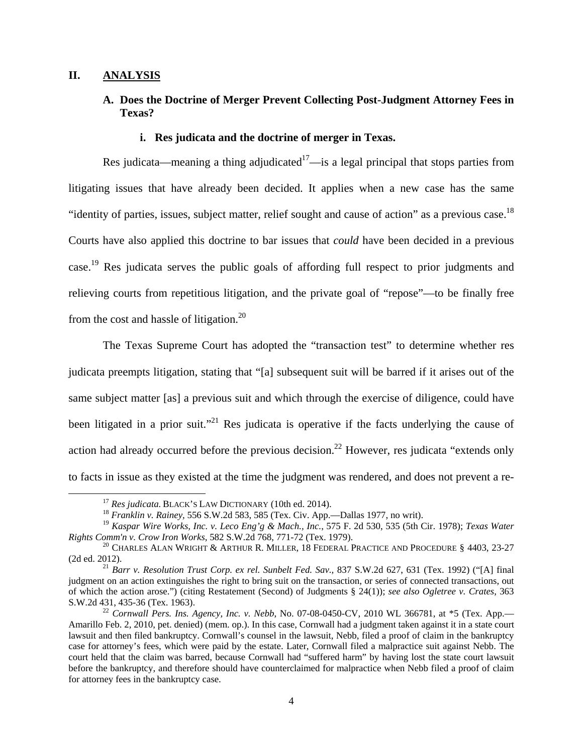### **II. ANALYSIS**

# **A. Does the Doctrine of Merger Prevent Collecting Post-Judgment Attorney Fees in Texas?**

### **i. Res judicata and the doctrine of merger in Texas.**

Res judicata—meaning a thing adjudicated<sup>17</sup>—is a legal principal that stops parties from litigating issues that have already been decided. It applies when a new case has the same "identity of parties, issues, subject matter, relief sought and cause of action" as a previous case.<sup>18</sup> Courts have also applied this doctrine to bar issues that *could* have been decided in a previous case.19 Res judicata serves the public goals of affording full respect to prior judgments and relieving courts from repetitious litigation, and the private goal of "repose"—to be finally free from the cost and hassle of litigation.<sup>20</sup>

 The Texas Supreme Court has adopted the "transaction test" to determine whether res judicata preempts litigation, stating that "[a] subsequent suit will be barred if it arises out of the same subject matter [as] a previous suit and which through the exercise of diligence, could have been litigated in a prior suit.<sup> $21$ </sup> Res judicata is operative if the facts underlying the cause of action had already occurred before the previous decision.<sup>22</sup> However, res judicata "extends only to facts in issue as they existed at the time the judgment was rendered, and does not prevent a re-

<sup>&</sup>lt;sup>17</sup> *Res judicata.* BLACK'S LAW DICTIONARY (10th ed. 2014).<br><sup>18</sup> *Franklin v. Rainey,* 556 S.W.2d 583, 585 (Tex. Civ. App.—Dallas 1977, no writ).

<sup>19</sup> *Kaspar Wire Works, Inc. v. Leco Eng'g & Mach., Inc.*, 575 F. 2d 530, 535 (5th Cir. 1978); *Texas Water Rights Comm'n v. Crow Iron Works*, 582 S.W.2d 768, 771-72 (Tex. 1979).<br><sup>20</sup> CHARLES ALAN WRIGHT & ARTHUR R. MILLER, 18 FEDERAL PRACTICE AND PROCEDURE § 4403, 23-27

<sup>(2</sup>d ed. 2012). 21 *Barr v. Resolution Trust Corp. ex rel. Sunbelt Fed. Sav.,* 837 S.W.2d 627, 631 (Tex. 1992) ("[A] final

judgment on an action extinguishes the right to bring suit on the transaction, or series of connected transactions, out of which the action arose.") (citing Restatement (Second) of Judgments § 24(1)); *see also Ogletree v. Crates*, 363 S.W.2d 431, 435-36 (Tex. 1963). 22 *Cornwall Pers. Ins. Agency, Inc. v. Nebb*, No. 07-08-0450-CV, 2010 WL 366781, at \*5 (Tex. App.—

Amarillo Feb. 2, 2010, pet. denied) (mem. op.). In this case, Cornwall had a judgment taken against it in a state court lawsuit and then filed bankruptcy. Cornwall's counsel in the lawsuit, Nebb, filed a proof of claim in the bankruptcy case for attorney's fees, which were paid by the estate. Later, Cornwall filed a malpractice suit against Nebb. The court held that the claim was barred, because Cornwall had "suffered harm" by having lost the state court lawsuit before the bankruptcy, and therefore should have counterclaimed for malpractice when Nebb filed a proof of claim for attorney fees in the bankruptcy case.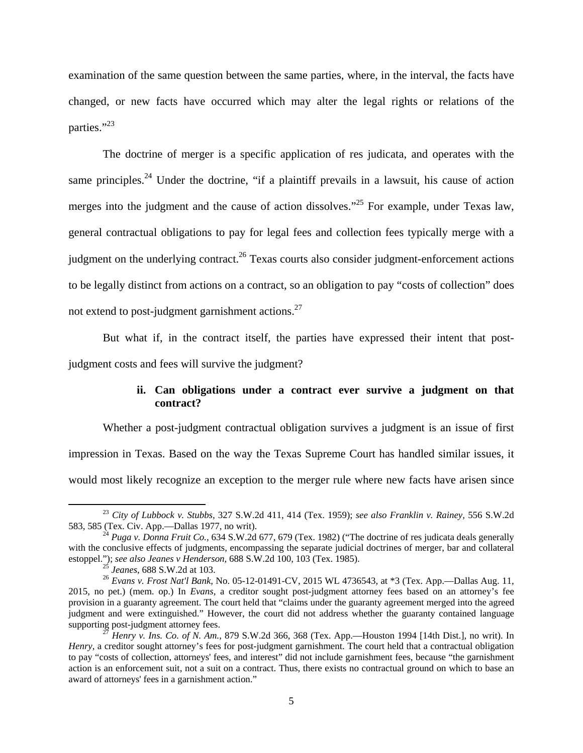examination of the same question between the same parties, where, in the interval, the facts have changed, or new facts have occurred which may alter the legal rights or relations of the parties."<sup>23</sup>

The doctrine of merger is a specific application of res judicata, and operates with the same principles.<sup>24</sup> Under the doctrine, "if a plaintiff prevails in a lawsuit, his cause of action merges into the judgment and the cause of action dissolves."<sup>25</sup> For example, under Texas law, general contractual obligations to pay for legal fees and collection fees typically merge with a judgment on the underlying contract.<sup>26</sup> Texas courts also consider judgment-enforcement actions to be legally distinct from actions on a contract, so an obligation to pay "costs of collection" does not extend to post-judgment garnishment actions. $27$ 

But what if, in the contract itself, the parties have expressed their intent that postjudgment costs and fees will survive the judgment?

## **ii. Can obligations under a contract ever survive a judgment on that contract?**

Whether a post-judgment contractual obligation survives a judgment is an issue of first impression in Texas. Based on the way the Texas Supreme Court has handled similar issues, it would most likely recognize an exception to the merger rule where new facts have arisen since

 <sup>23</sup> *City of Lubbock v. Stubbs,* 327 S.W.2d 411, 414 (Tex. 1959); *see also Franklin v. Rainey,* 556 S.W.2d

<sup>&</sup>lt;sup>24</sup> *Puga v. Donna Fruit Co.,* 634 S.W.2d 677, 679 (Tex. 1982) ("The doctrine of res judicata deals generally with the conclusive effects of judgments, encompassing the separate judicial doctrines of merger, bar and collateral estoppel."); see also Jeanes v Henderson, 688 S.W.2d 100, 103 (Tex. 1985).<br><sup>25</sup> Jeanes, 688 S.W.2d at 103.<br><sup>26</sup> Evans v. Frost Nat'l Bank, No. 05-12-01491-CV, 2015 WL 4736543, at \*3 (Tex. App.—Dallas Aug. 11,

<sup>2015,</sup> no pet.) (mem. op.) In *Evans,* a creditor sought post-judgment attorney fees based on an attorney's fee provision in a guaranty agreement. The court held that "claims under the guaranty agreement merged into the agreed judgment and were extinguished." However, the court did not address whether the guaranty contained language supporting post-judgment attorney fees.<br><sup>27</sup> *Henry v. Ins. Co. of N. Am., 879 S.W.2d 366, 368 (Tex. App.*—Houston 1994 [14th Dist.], no writ). In

*Henry*, a creditor sought attorney's fees for post-judgment garnishment. The court held that a contractual obligation to pay "costs of collection, attorneys' fees, and interest" did not include garnishment fees, because "the garnishment action is an enforcement suit, not a suit on a contract. Thus, there exists no contractual ground on which to base an award of attorneys' fees in a garnishment action."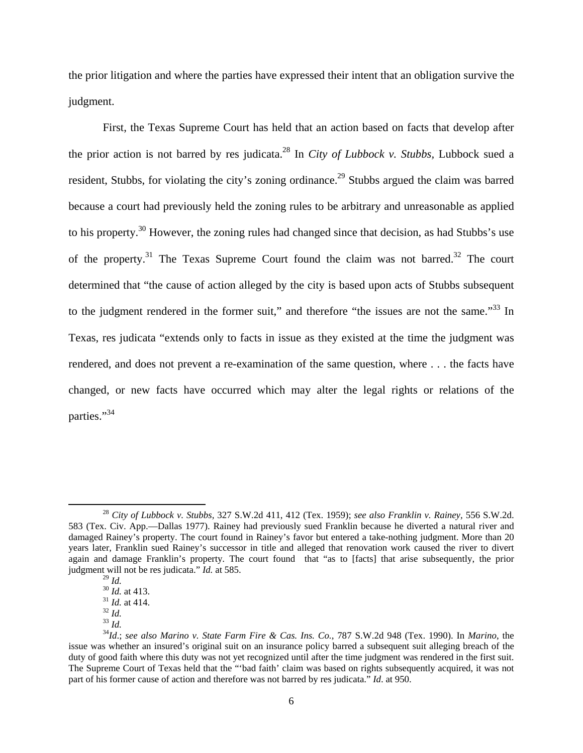the prior litigation and where the parties have expressed their intent that an obligation survive the judgment.

First, the Texas Supreme Court has held that an action based on facts that develop after the prior action is not barred by res judicata.28 In *City of Lubbock v. Stubbs,* Lubbock sued a resident, Stubbs, for violating the city's zoning ordinance.<sup>29</sup> Stubbs argued the claim was barred because a court had previously held the zoning rules to be arbitrary and unreasonable as applied to his property.30 However, the zoning rules had changed since that decision, as had Stubbs's use of the property.<sup>31</sup> The Texas Supreme Court found the claim was not barred.<sup>32</sup> The court determined that "the cause of action alleged by the city is based upon acts of Stubbs subsequent to the judgment rendered in the former suit," and therefore "the issues are not the same."<sup>33</sup> In Texas, res judicata "extends only to facts in issue as they existed at the time the judgment was rendered, and does not prevent a re-examination of the same question, where . . . the facts have changed, or new facts have occurred which may alter the legal rights or relations of the parties."<sup>34</sup>

 <sup>28</sup> *City of Lubbock v. Stubbs,* 327 S.W.2d 411, 412 (Tex. 1959); *see also Franklin v. Rainey,* 556 S.W.2d. 583 (Tex. Civ. App.—Dallas 1977). Rainey had previously sued Franklin because he diverted a natural river and damaged Rainey's property. The court found in Rainey's favor but entered a take-nothing judgment. More than 20 years later, Franklin sued Rainey's successor in title and alleged that renovation work caused the river to divert again and damage Franklin's property. The court found that "as to [facts] that arise subsequently, the prior judgment will not be res judicata." *Id.* at 585.

<sup>&</sup>lt;sup>30</sup> *Id.*  $\frac{30}{31}$  *Id.* at 413.<br><sup>31</sup> *Id.* at 414.<br><sup>32</sup> *Id.* 33 *Id.* 33 *Id.* 34*Id.*; *see also Marino v. State Farm Fire & Cas. Ins. Co., 787 S.W.2d 948 (Tex. 1990). In <i>Marino*, the issue was whether an insured's original suit on an insurance policy barred a subsequent suit alleging breach of the duty of good faith where this duty was not yet recognized until after the time judgment was rendered in the first suit. The Supreme Court of Texas held that the "'bad faith' claim was based on rights subsequently acquired, it was not part of his former cause of action and therefore was not barred by res judicata." *Id*. at 950.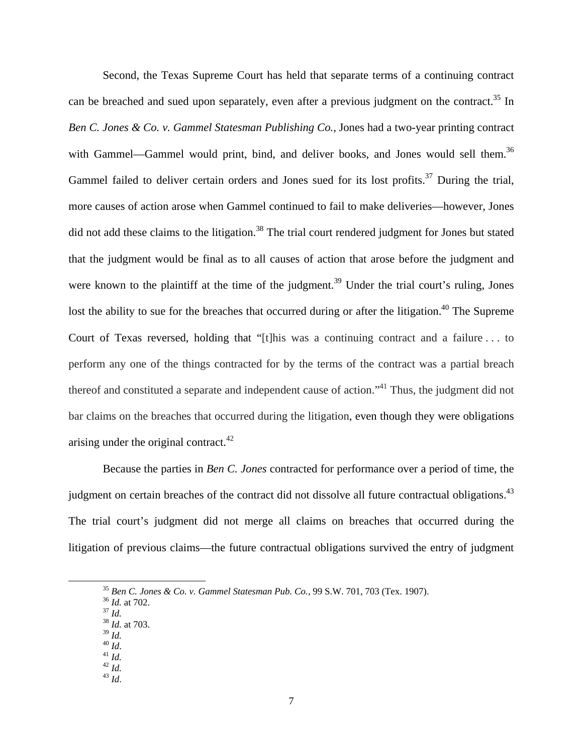Second, the Texas Supreme Court has held that separate terms of a continuing contract can be breached and sued upon separately, even after a previous judgment on the contract.<sup>35</sup> In *Ben C. Jones & Co. v. Gammel Statesman Publishing Co.,* Jones had a two-year printing contract with Gammel—Gammel would print, bind, and deliver books, and Jones would sell them.<sup>36</sup> Gammel failed to deliver certain orders and Jones sued for its lost profits.<sup>37</sup> During the trial, more causes of action arose when Gammel continued to fail to make deliveries—however, Jones did not add these claims to the litigation.<sup>38</sup> The trial court rendered judgment for Jones but stated that the judgment would be final as to all causes of action that arose before the judgment and were known to the plaintiff at the time of the judgment.<sup>39</sup> Under the trial court's ruling, Jones lost the ability to sue for the breaches that occurred during or after the litigation.<sup>40</sup> The Supreme Court of Texas reversed, holding that "[t]his was a continuing contract and a failure . . . to perform any one of the things contracted for by the terms of the contract was a partial breach thereof and constituted a separate and independent cause of action."41 Thus, the judgment did not bar claims on the breaches that occurred during the litigation, even though they were obligations arising under the original contract. $42$ 

Because the parties in *Ben C. Jones* contracted for performance over a period of time, the judgment on certain breaches of the contract did not dissolve all future contractual obligations.<sup>43</sup> The trial court's judgment did not merge all claims on breaches that occurred during the litigation of previous claims—the future contractual obligations survived the entry of judgment

<sup>35</sup> *Ben C. Jones & Co. v. Gammel Statesman Pub. Co.,* 99 S.W. 701, 703 (Tex. 1907). 36 *Id.* at 702. <sup>37</sup> *Id.* <sup>38</sup> *Id.* at 703.

- 
- 
- 
- 
- 
- 39 *Id.* 40 *Id*. 41 *Id.* 42 *Id.* 43 *Id*.
-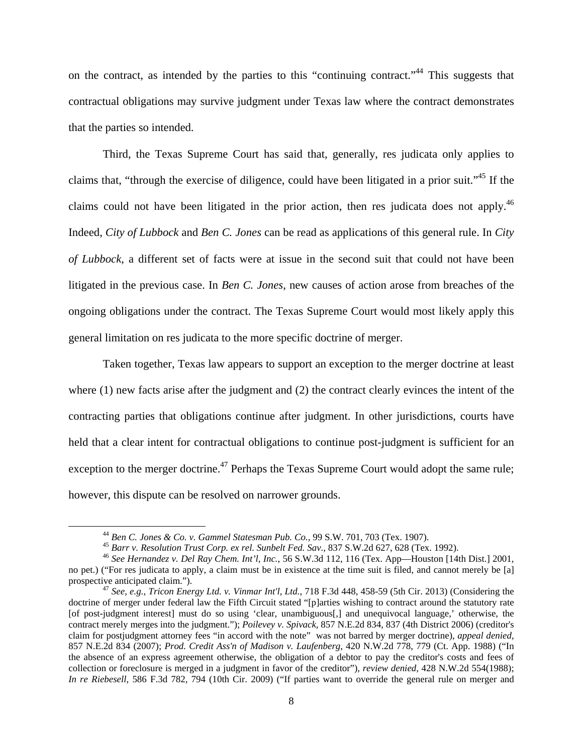on the contract, as intended by the parties to this "continuing contract."<sup>44</sup> This suggests that contractual obligations may survive judgment under Texas law where the contract demonstrates that the parties so intended.

 Third, the Texas Supreme Court has said that, generally, res judicata only applies to claims that, "through the exercise of diligence, could have been litigated in a prior suit."45 If the claims could not have been litigated in the prior action, then res judicata does not apply.<sup>46</sup> Indeed, *City of Lubbock* and *Ben C. Jones* can be read as applications of this general rule. In *City of Lubbock*, a different set of facts were at issue in the second suit that could not have been litigated in the previous case. In *Ben C. Jones*, new causes of action arose from breaches of the ongoing obligations under the contract. The Texas Supreme Court would most likely apply this general limitation on res judicata to the more specific doctrine of merger.

Taken together, Texas law appears to support an exception to the merger doctrine at least where (1) new facts arise after the judgment and (2) the contract clearly evinces the intent of the contracting parties that obligations continue after judgment. In other jurisdictions, courts have held that a clear intent for contractual obligations to continue post-judgment is sufficient for an exception to the merger doctrine.<sup>47</sup> Perhaps the Texas Supreme Court would adopt the same rule; however, this dispute can be resolved on narrower grounds.

<sup>&</sup>lt;sup>44</sup> Ben C. Jones & Co. v. Gammel Statesman Pub. Co., 99 S.W. 701, 703 (Tex. 1907).<br><sup>45</sup> Barr v. Resolution Trust Corp. ex rel. Sunbelt Fed. Sav., 837 S.W.2d 627, 628 (Tex. 1992).<br><sup>46</sup> See Hernandez v. Del Ray Chem. Int'l

no pet.) ("For res judicata to apply, a claim must be in existence at the time suit is filed, and cannot merely be [a] prospective anticipated claim."). 47 *See, e.g.*, *Tricon Energy Ltd. v. Vinmar Int'l, Ltd.*, 718 F.3d 448, 458-59 (5th Cir. 2013) (Considering the

doctrine of merger under federal law the Fifth Circuit stated "[p]arties wishing to contract around the statutory rate [of post-judgment interest] must do so using 'clear, unambiguous[,] and unequivocal language,' otherwise, the contract merely merges into the judgment."); *Poilevey v. Spivack*, 857 N.E.2d 834, 837 (4th District 2006) (creditor's claim for postjudgment attorney fees "in accord with the note" was not barred by merger doctrine), *appeal denied,*  857 N.E.2d 834 (2007); *Prod. Credit Ass'n of Madison v. Laufenberg*, 420 N.W.2d 778, 779 (Ct. App. 1988) ("In the absence of an express agreement otherwise, the obligation of a debtor to pay the creditor's costs and fees of collection or foreclosure is merged in a judgment in favor of the creditor"), *review denied*, 428 N.W.2d 554(1988); *In re Riebesell*, 586 F.3d 782, 794 (10th Cir. 2009) ("If parties want to override the general rule on merger and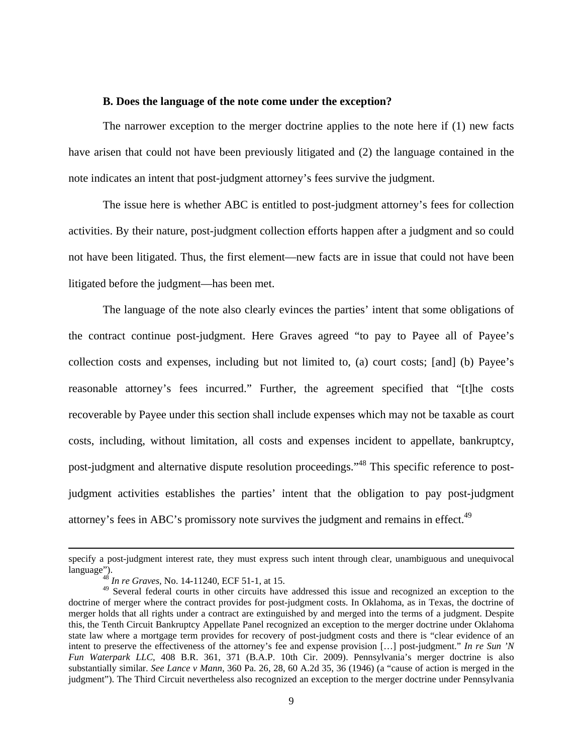#### **B. Does the language of the note come under the exception?**

The narrower exception to the merger doctrine applies to the note here if (1) new facts have arisen that could not have been previously litigated and (2) the language contained in the note indicates an intent that post-judgment attorney's fees survive the judgment.

The issue here is whether ABC is entitled to post-judgment attorney's fees for collection activities. By their nature, post-judgment collection efforts happen after a judgment and so could not have been litigated. Thus, the first element—new facts are in issue that could not have been litigated before the judgment—has been met.

The language of the note also clearly evinces the parties' intent that some obligations of the contract continue post-judgment. Here Graves agreed "to pay to Payee all of Payee's collection costs and expenses, including but not limited to, (a) court costs; [and] (b) Payee's reasonable attorney's fees incurred." Further, the agreement specified that "[t]he costs recoverable by Payee under this section shall include expenses which may not be taxable as court costs, including, without limitation, all costs and expenses incident to appellate, bankruptcy, post-judgment and alternative dispute resolution proceedings."48 This specific reference to postjudgment activities establishes the parties' intent that the obligation to pay post-judgment attorney's fees in ABC's promissory note survives the judgment and remains in effect.<sup>49</sup>

<sup>&</sup>lt;u> 1989 - Johann Stein, marwolaethau a gweledydd a ganlad y ganlad y ganlad y ganlad y ganlad y ganlad y ganlad</u> specify a post-judgment interest rate, they must express such intent through clear, unambiguous and unequivocal language"). 48 *In re Graves,* No. 14-11240, ECF 51-1, at 15.

 $^{49}$  Several federal courts in other circuits have addressed this issue and recognized an exception to the doctrine of merger where the contract provides for post-judgment costs. In Oklahoma, as in Texas, the doctrine of merger holds that all rights under a contract are extinguished by and merged into the terms of a judgment. Despite this, the Tenth Circuit Bankruptcy Appellate Panel recognized an exception to the merger doctrine under Oklahoma state law where a mortgage term provides for recovery of post-judgment costs and there is "clear evidence of an intent to preserve the effectiveness of the attorney's fee and expense provision […] post-judgment." *In re Sun 'N Fun Waterpark LLC*, 408 B.R. 361, 371 (B.A.P. 10th Cir. 2009). Pennsylvania's merger doctrine is also substantially similar. *See Lance v Mann,* 360 Pa. 26, 28, 60 A.2d 35, 36 (1946) (a "cause of action is merged in the judgment"). The Third Circuit nevertheless also recognized an exception to the merger doctrine under Pennsylvania